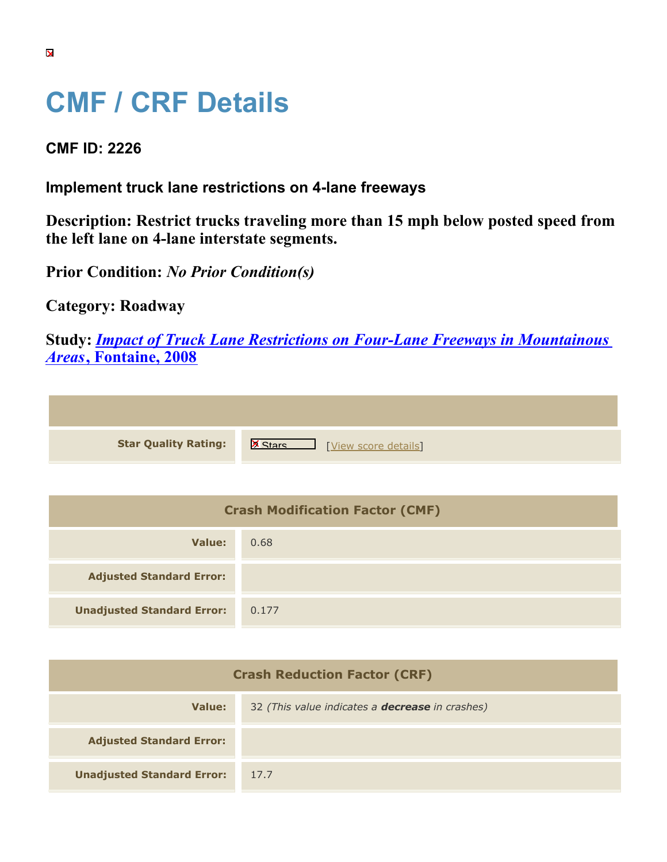## **CMF / CRF Details**

## **CMF ID: 2226**

## **Implement truck lane restrictions on 4-lane freeways**

**Description: Restrict trucks traveling more than 15 mph below posted speed from the left lane on 4-lane interstate segments.**

**Prior Condition:** *No Prior Condition(s)*

**Category: Roadway**

**Study:** *[Impact of Truck Lane Restrictions on Four-Lane Freeways in Mountainous](https://cmfclearinghouse.org/study_detail.cfm?stid=135) [Areas](https://cmfclearinghouse.org/study_detail.cfm?stid=135)***[, Fontaine, 2008](https://cmfclearinghouse.org/study_detail.cfm?stid=135)**

| <b>Star Quality Rating:</b>            | <b>X</b><br>[View score details] |
|----------------------------------------|----------------------------------|
|                                        |                                  |
| <b>Crash Modification Factor (CMF)</b> |                                  |

| Value:                            | 0.68  |
|-----------------------------------|-------|
| <b>Adjusted Standard Error:</b>   |       |
| <b>Unadjusted Standard Error:</b> | 0.177 |

| <b>Crash Reduction Factor (CRF)</b> |                                                        |
|-------------------------------------|--------------------------------------------------------|
| Value:                              | 32 (This value indicates a <b>decrease</b> in crashes) |
| <b>Adjusted Standard Error:</b>     |                                                        |
| <b>Unadjusted Standard Error:</b>   | 17.7                                                   |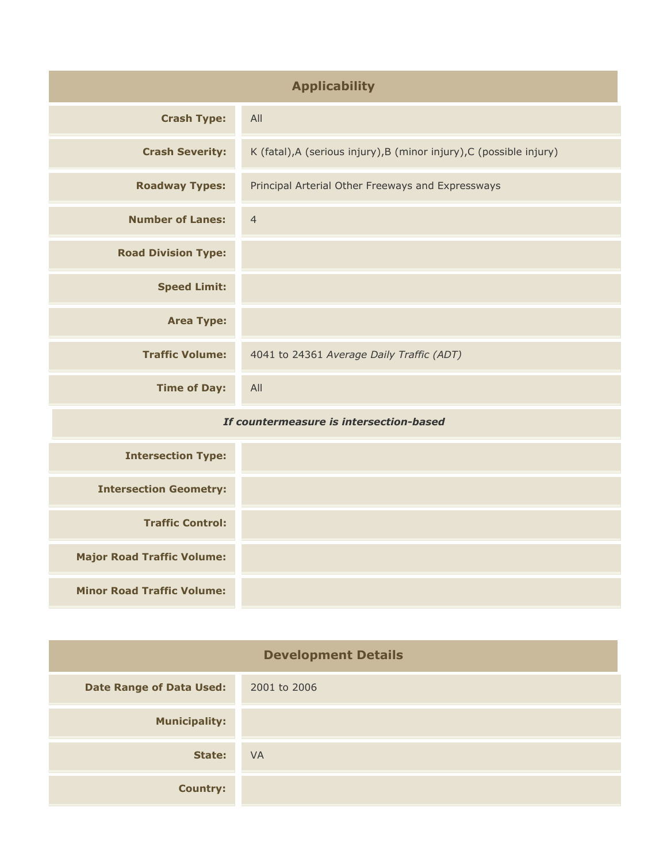| <b>Applicability</b>                    |                                                                      |
|-----------------------------------------|----------------------------------------------------------------------|
| <b>Crash Type:</b>                      | All                                                                  |
| <b>Crash Severity:</b>                  | K (fatal), A (serious injury), B (minor injury), C (possible injury) |
| <b>Roadway Types:</b>                   | Principal Arterial Other Freeways and Expressways                    |
| <b>Number of Lanes:</b>                 | $\overline{4}$                                                       |
| <b>Road Division Type:</b>              |                                                                      |
| <b>Speed Limit:</b>                     |                                                                      |
| <b>Area Type:</b>                       |                                                                      |
| <b>Traffic Volume:</b>                  | 4041 to 24361 Average Daily Traffic (ADT)                            |
| <b>Time of Day:</b>                     | All                                                                  |
| If countermeasure is intersection-based |                                                                      |
| <b>Intersection Type:</b>               |                                                                      |
| <b>Intersection Geometry:</b>           |                                                                      |
| <b>Traffic Control:</b>                 |                                                                      |
| <b>Major Road Traffic Volume:</b>       |                                                                      |
| <b>Minor Road Traffic Volume:</b>       |                                                                      |

| <b>Development Details</b>      |              |
|---------------------------------|--------------|
| <b>Date Range of Data Used:</b> | 2001 to 2006 |
| <b>Municipality:</b>            |              |
| State:                          | <b>VA</b>    |
| <b>Country:</b>                 |              |